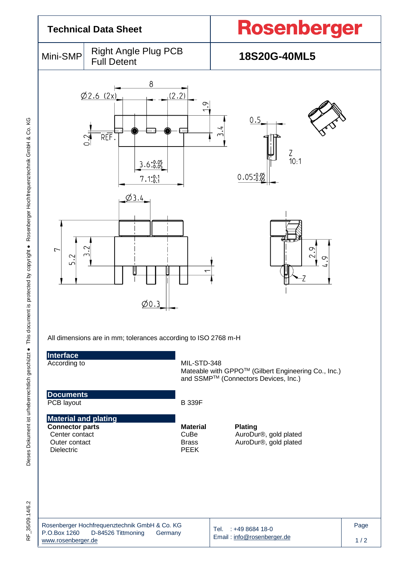

|                    | Rosenberger Hochfrequenztechnik GmbH & Co. KG |         |                                                               |
|--------------------|-----------------------------------------------|---------|---------------------------------------------------------------|
| P.O.Box 1260       | D-84526 Tittmoning                            | Germanv | $\sqrt{1}$ Tel. : +49 8684 18-0<br>Email: info@rosenberger.de |
| www.rosenberger.de |                                               |         |                                                               |

Page  $1/2$